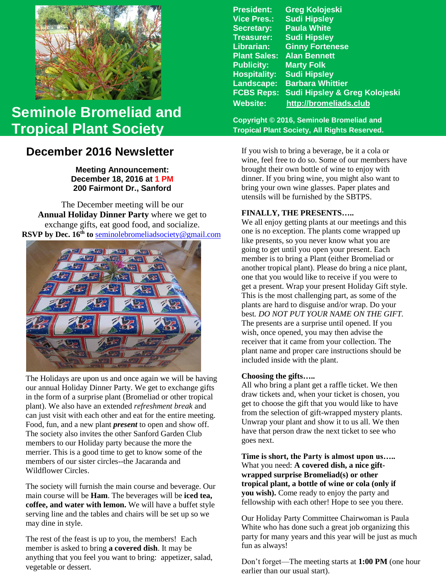

# **Seminole Bromeliad and Tropical Plant Society**

## **December 2016 Newsletter**

**Meeting Announcement: December 18, 2016 at 1 PM 200 Fairmont Dr., Sanford**

 **RSVP by Dec. 16th to** [seminolebromeliadsociety@gmail.com](mailto:seminolebromeliadsociety@gmail.com?subject=HolidayParty)The December meeting will be our **Annual Holiday Dinner Party** where we get to exchange gifts, eat good food, and socialize.



 plant). We also have an extended *refreshment break* and The Holidays are upon us and once again we will be having our annual Holiday Dinner Party. We get to exchange gifts in the form of a surprise plant (Bromeliad or other tropical can just visit with each other and eat for the entire meeting. Food, fun, and a new plant *present* to open and show off. The society also invites the other Sanford Garden Club members to our Holiday party because the more the merrier. This is a good time to get to know some of the members of our sister circles--the Jacaranda and Wildflower Circles.

The society will furnish the main course and beverage. Our main course will be **Ham**. The beverages will be **iced tea, coffee, and water with lemon.** We will have a buffet style serving line and the tables and chairs will be set up so we may dine in style.

The rest of the feast is up to you, the members! Each member is asked to bring **a covered dish**. It may be anything that you feel you want to bring: appetizer, salad, vegetable or dessert.

| <b>Greg Kolojeski</b>         |
|-------------------------------|
| <b>Sudi Hipsley</b>           |
| <b>Paula White</b>            |
| <b>Sudi Hipsley</b>           |
| <b>Ginny Fortenese</b>        |
| <b>Alan Bennett</b>           |
| <b>Marty Folk</b>             |
| <b>Sudi Hipsley</b>           |
| <b>Barbara Whittier</b>       |
| Sudi Hipsley & Greg Kolojeski |
| http://bromeliads.club        |
|                               |

**Copyright © 2016, Seminole Bromeliad and Tropical Plant Society, All Rights Reserved.**

If you wish to bring a beverage, be it a cola or wine, feel free to do so. Some of our members have brought their own bottle of wine to enjoy with dinner. If you bring wine, you might also want to bring your own wine glasses. Paper plates and utensils will be furnished by the SBTPS.

#### **FINALLY, THE PRESENTS…..**

We all enjoy getting plants at our meetings and this one is no exception. The plants come wrapped up like presents, so you never know what you are going to get until you open your present. Each member is to bring a Plant (either Bromeliad or another tropical plant). Please do bring a nice plant, one that you would like to receive if you were to get a present. Wrap your present Holiday Gift style. This is the most challenging part, as some of the plants are hard to disguise and/or wrap. Do your best*. DO NOT PUT YOUR NAME ON THE GIFT.* The presents are a surprise until opened. If you wish, once opened, you may then advise the receiver that it came from your collection. The plant name and proper care instructions should be included inside with the plant.

#### **Choosing the gifts…..**

All who bring a plant get a raffle ticket. We then draw tickets and, when your ticket is chosen, you get to choose the gift that you would like to have from the selection of gift-wrapped mystery plants. Unwrap your plant and show it to us all. We then have that person draw the next ticket to see who goes next.

**Time is short, the Party is almost upon us…..** What you need: **A covered dish, a nice giftwrapped surprise Bromeliad(s) or other tropical plant, a bottle of wine or cola (only if you wish).** Come ready to enjoy the party and fellowship with each other! Hope to see you there.

Our Holiday Party Committee Chairwoman is Paula White who has done such a great job organizing this party for many years and this year will be just as much fun as always!

Don't forget—The meeting starts at **1:00 PM** (one hour earlier than our usual start).